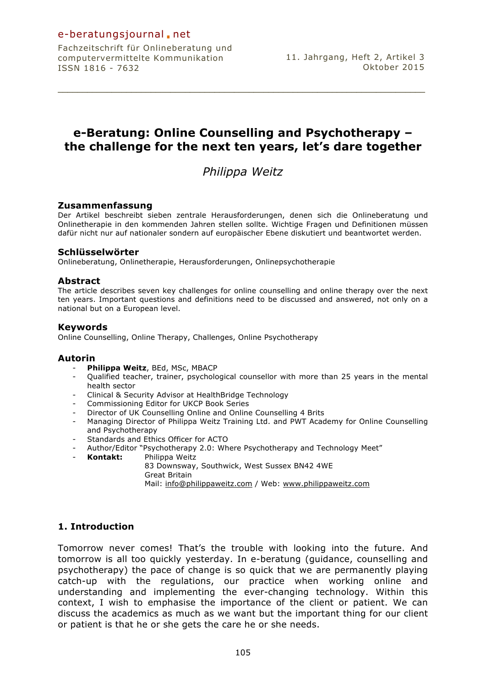## e-beratungsjournal.net

Fachzeitschrift für Onlineberatung und computervermittelte Kommunikation ISSN 1816 - 7632

# **e-Beratung: Online Counselling and Psychotherapy – the challenge for the next ten years, let's dare together**

**\_\_\_\_\_\_\_\_\_\_\_\_\_\_\_\_\_\_\_\_\_\_\_\_\_\_\_\_\_\_\_\_\_\_\_\_\_\_\_\_\_\_\_\_\_\_\_\_\_\_\_\_\_\_\_\_\_\_\_\_\_\_\_\_\_\_\_\_\_\_\_\_\_\_\_**

# *Philippa Weitz*

### **Zusammenfassung**

Der Artikel beschreibt sieben zentrale Herausforderungen, denen sich die Onlineberatung und Onlinetherapie in den kommenden Jahren stellen sollte. Wichtige Fragen und Definitionen müssen dafür nicht nur auf nationaler sondern auf europäischer Ebene diskutiert und beantwortet werden.

### **Schlüsselwörter**

Onlineberatung, Onlinetherapie, Herausforderungen, Onlinepsychotherapie

### **Abstract**

The article describes seven key challenges for online counselling and online therapy over the next ten years. Important questions and definitions need to be discussed and answered, not only on a national but on a European level.

### **Keywords**

Online Counselling, Online Therapy, Challenges, Online Psychotherapy

### **Autorin**

- **Philippa Weitz**, BEd, MSc, MBACP
- Qualified teacher, trainer, psychological counsellor with more than 25 years in the mental health sector
- Clinical & Security Advisor at HealthBridge Technology
- Commissioning Editor for UKCP Book Series
- Director of UK Counselling Online and Online Counselling 4 Brits
- Managing Director of Philippa Weitz Training Ltd. and PWT Academy for Online Counselling and Psychotherapy
- Standards and Ethics Officer for ACTO
- Author/Editor "Psychotherapy 2.0: Where Psychotherapy and Technology Meet"
- **Kontakt:** Philippa Weitz
	- 83 Downsway, Southwick, West Sussex BN42 4WE
	- Great Britain

Mail: info@philippaweitz.com / Web: www.philippaweitz.com

## **1. Introduction**

Tomorrow never comes! That's the trouble with looking into the future. And tomorrow is all too quickly yesterday. In e-beratung (guidance, counselling and psychotherapy) the pace of change is so quick that we are permanently playing catch-up with the regulations, our practice when working online and understanding and implementing the ever-changing technology. Within this context, I wish to emphasise the importance of the client or patient. We can discuss the academics as much as we want but the important thing for our client or patient is that he or she gets the care he or she needs.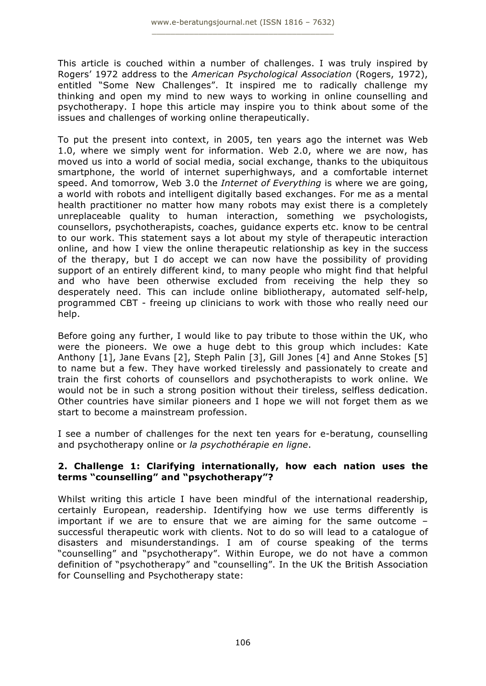This article is couched within a number of challenges. I was truly inspired by Rogers' 1972 address to the *American Psychological Association* (Rogers, 1972), entitled "Some New Challenges". It inspired me to radically challenge my thinking and open my mind to new ways to working in online counselling and psychotherapy. I hope this article may inspire you to think about some of the issues and challenges of working online therapeutically.

To put the present into context, in 2005, ten years ago the internet was Web 1.0, where we simply went for information. Web 2.0, where we are now, has moved us into a world of social media, social exchange, thanks to the ubiquitous smartphone, the world of internet superhighways, and a comfortable internet speed. And tomorrow, Web 3.0 the *Internet of Everything* is where we are going, a world with robots and intelligent digitally based exchanges. For me as a mental health practitioner no matter how many robots may exist there is a completely unreplaceable quality to human interaction, something we psychologists, counsellors, psychotherapists, coaches, guidance experts etc. know to be central to our work. This statement says a lot about my style of therapeutic interaction online, and how I view the online therapeutic relationship as key in the success of the therapy, but I do accept we can now have the possibility of providing support of an entirely different kind, to many people who might find that helpful and who have been otherwise excluded from receiving the help they so desperately need. This can include online bibliotherapy, automated self-help, programmed CBT - freeing up clinicians to work with those who really need our help.

Before going any further, I would like to pay tribute to those within the UK, who were the pioneers. We owe a huge debt to this group which includes: Kate Anthony [1], Jane Evans [2], Steph Palin [3], Gill Jones [4] and Anne Stokes [5] to name but a few. They have worked tirelessly and passionately to create and train the first cohorts of counsellors and psychotherapists to work online. We would not be in such a strong position without their tireless, selfless dedication. Other countries have similar pioneers and I hope we will not forget them as we start to become a mainstream profession.

I see a number of challenges for the next ten years for e-beratung, counselling and psychotherapy online or *la psychothérapie en ligne*.

### **2. Challenge 1: Clarifying internationally, how each nation uses the terms "counselling" and "psychotherapy"?**

Whilst writing this article I have been mindful of the international readership, certainly European, readership. Identifying how we use terms differently is important if we are to ensure that we are aiming for the same outcome – successful therapeutic work with clients. Not to do so will lead to a catalogue of disasters and misunderstandings. I am of course speaking of the terms "counselling" and "psychotherapy". Within Europe, we do not have a common definition of "psychotherapy" and "counselling". In the UK the British Association for Counselling and Psychotherapy state: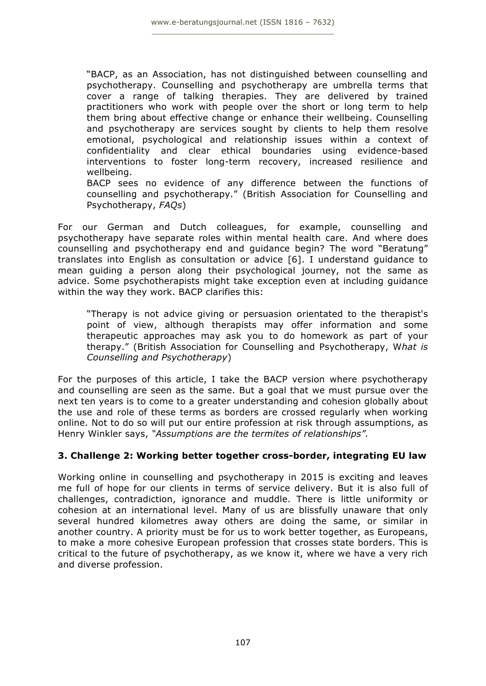"BACP, as an Association, has not distinguished between counselling and psychotherapy. Counselling and psychotherapy are umbrella terms that cover a range of talking therapies. They are delivered by trained practitioners who work with people over the short or long term to help them bring about effective change or enhance their wellbeing. Counselling and psychotherapy are services sought by clients to help them resolve emotional, psychological and relationship issues within a context of confidentiality and clear ethical boundaries using evidence-based interventions to foster long-term recovery, increased resilience and wellbeing.

BACP sees no evidence of any difference between the functions of counselling and psychotherapy." (British Association for Counselling and Psychotherapy, *FAQs*)

For our German and Dutch colleagues, for example, counselling and psychotherapy have separate roles within mental health care. And where does counselling and psychotherapy end and guidance begin? The word "Beratung" translates into English as consultation or advice [6]. I understand guidance to mean guiding a person along their psychological journey, not the same as advice. Some psychotherapists might take exception even at including guidance within the way they work. BACP clarifies this:

"Therapy is not advice giving or persuasion orientated to the therapist's point of view, although therapists may offer information and some therapeutic approaches may ask you to do homework as part of your therapy." (British Association for Counselling and Psychotherapy, W*hat is Counselling and Psychotherapy*)

For the purposes of this article, I take the BACP version where psychotherapy and counselling are seen as the same. But a goal that we must pursue over the next ten years is to come to a greater understanding and cohesion globally about the use and role of these terms as borders are crossed regularly when working online. Not to do so will put our entire profession at risk through assumptions, as Henry Winkler says, *"Assumptions are the termites of relationships".*

## **3. Challenge 2: Working better together cross-border, integrating EU law**

Working online in counselling and psychotherapy in 2015 is exciting and leaves me full of hope for our clients in terms of service delivery. But it is also full of challenges, contradiction, ignorance and muddle. There is little uniformity or cohesion at an international level. Many of us are blissfully unaware that only several hundred kilometres away others are doing the same, or similar in another country. A priority must be for us to work better together, as Europeans, to make a more cohesive European profession that crosses state borders. This is critical to the future of psychotherapy, as we know it, where we have a very rich and diverse profession.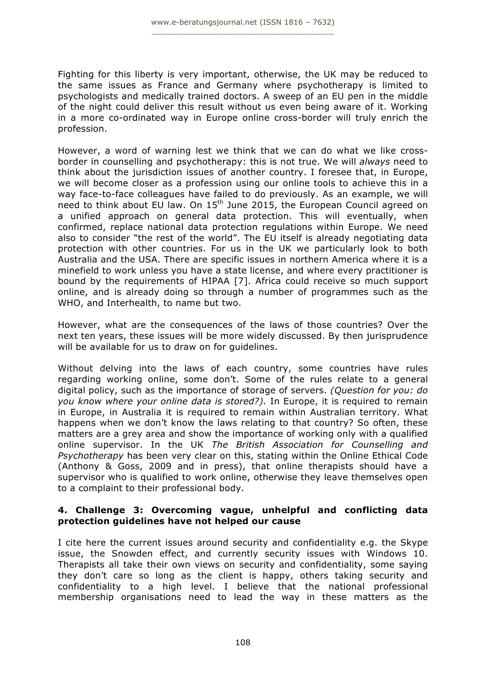Fighting for this liberty is very important, otherwise, the UK may be reduced to the same issues as France and Germany where psychotherapy is limited to psychologists and medically trained doctors. A sweep of an EU pen in the middle of the night could deliver this result without us even being aware of it. Working in a more co-ordinated way in Europe online cross-border will truly enrich the profession.

However, a word of warning lest we think that we can do what we like crossborder in counselling and psychotherapy: this is not true. We will *always* need to think about the jurisdiction issues of another country. I foresee that, in Europe, we will become closer as a profession using our online tools to achieve this in a way face-to-face colleagues have failed to do previously. As an example, we will need to think about EU law. On 15<sup>th</sup> June 2015, the European Council agreed on a unified approach on general data protection. This will eventually, when confirmed, replace national data protection regulations within Europe. We need also to consider "the rest of the world". The EU itself is already negotiating data protection with other countries. For us in the UK we particularly look to both Australia and the USA. There are specific issues in northern America where it is a minefield to work unless you have a state license, and where every practitioner is bound by the requirements of HIPAA [7]. Africa could receive so much support online, and is already doing so through a number of programmes such as the WHO, and Interhealth, to name but two.

However, what are the consequences of the laws of those countries? Over the next ten years, these issues will be more widely discussed. By then jurisprudence will be available for us to draw on for guidelines.

Without delving into the laws of each country, some countries have rules regarding working online, some don't. Some of the rules relate to a general digital policy, such as the importance of storage of servers. *(Question for you: do you know where your online data is stored?).* In Europe, it is required to remain in Europe, in Australia it is required to remain within Australian territory. What happens when we don't know the laws relating to that country? So often, these matters are a grey area and show the importance of working only with a qualified online supervisor. In the UK *The British Association for Counselling and Psychotherapy* has been very clear on this, stating within the Online Ethical Code (Anthony & Goss, 2009 and in press), that online therapists should have a supervisor who is qualified to work online, otherwise they leave themselves open to a complaint to their professional body.

### **4. Challenge 3: Overcoming vague, unhelpful and conflicting data protection guidelines have not helped our cause**

I cite here the current issues around security and confidentiality e.g. the Skype issue, the Snowden effect, and currently security issues with Windows 10. Therapists all take their own views on security and confidentiality, some saying they don't care so long as the client is happy, others taking security and confidentiality to a high level. I believe that the national professional membership organisations need to lead the way in these matters as the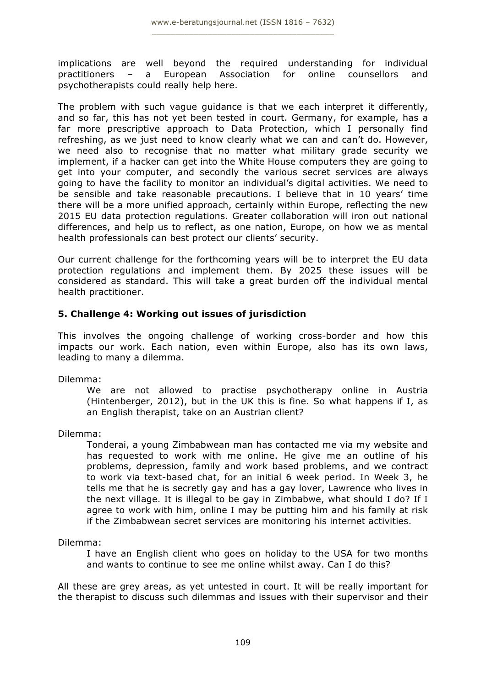implications are well beyond the required understanding for individual practitioners – a European Association for online counsellors and psychotherapists could really help here.

The problem with such vague guidance is that we each interpret it differently, and so far, this has not yet been tested in court. Germany, for example, has a far more prescriptive approach to Data Protection, which I personally find refreshing, as we just need to know clearly what we can and can't do. However, we need also to recognise that no matter what military grade security we implement, if a hacker can get into the White House computers they are going to get into your computer, and secondly the various secret services are always going to have the facility to monitor an individual's digital activities. We need to be sensible and take reasonable precautions. I believe that in 10 years' time there will be a more unified approach, certainly within Europe, reflecting the new 2015 EU data protection regulations. Greater collaboration will iron out national differences, and help us to reflect, as one nation, Europe, on how we as mental health professionals can best protect our clients' security.

Our current challenge for the forthcoming years will be to interpret the EU data protection regulations and implement them. By 2025 these issues will be considered as standard. This will take a great burden off the individual mental health practitioner.

## **5. Challenge 4: Working out issues of jurisdiction**

This involves the ongoing challenge of working cross-border and how this impacts our work. Each nation, even within Europe, also has its own laws, leading to many a dilemma.

Dilemma:

We are not allowed to practise psychotherapy online in Austria (Hintenberger, 2012), but in the UK this is fine. So what happens if I, as an English therapist, take on an Austrian client?

Dilemma:

Tonderai, a young Zimbabwean man has contacted me via my website and has requested to work with me online. He give me an outline of his problems, depression, family and work based problems, and we contract to work via text-based chat, for an initial 6 week period. In Week 3, he tells me that he is secretly gay and has a gay lover, Lawrence who lives in the next village. It is illegal to be gay in Zimbabwe, what should I do? If I agree to work with him, online I may be putting him and his family at risk if the Zimbabwean secret services are monitoring his internet activities.

Dilemma:

I have an English client who goes on holiday to the USA for two months and wants to continue to see me online whilst away. Can I do this?

All these are grey areas, as yet untested in court. It will be really important for the therapist to discuss such dilemmas and issues with their supervisor and their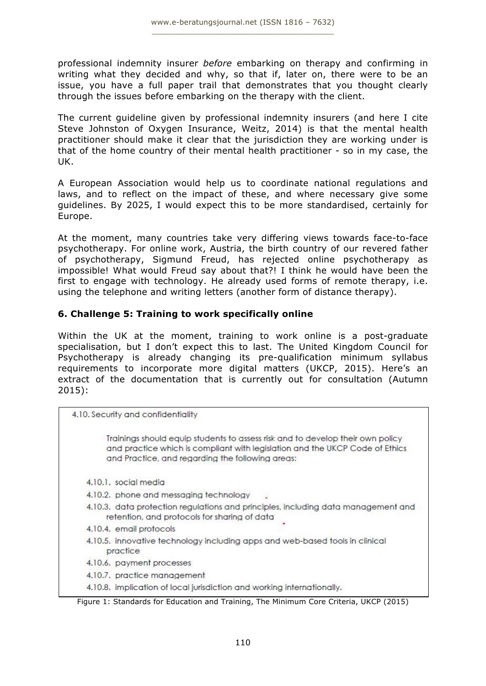professional indemnity insurer *before* embarking on therapy and confirming in writing what they decided and why, so that if, later on, there were to be an issue, you have a full paper trail that demonstrates that you thought clearly through the issues before embarking on the therapy with the client.

The current guideline given by professional indemnity insurers (and here I cite Steve Johnston of Oxygen Insurance, Weitz, 2014) is that the mental health practitioner should make it clear that the jurisdiction they are working under is that of the home country of their mental health practitioner - so in my case, the UK.

A European Association would help us to coordinate national regulations and laws, and to reflect on the impact of these, and where necessary give some guidelines. By 2025, I would expect this to be more standardised, certainly for Europe.

At the moment, many countries take very differing views towards face-to-face psychotherapy. For online work, Austria, the birth country of our revered father of psychotherapy, Sigmund Freud, has rejected online psychotherapy as impossible! What would Freud say about that?! I think he would have been the first to engage with technology. He already used forms of remote therapy, i.e. using the telephone and writing letters (another form of distance therapy).

## **6. Challenge 5: Training to work specifically online**

Within the UK at the moment, training to work online is a post-graduate specialisation, but I don't expect this to last. The United Kingdom Council for Psychotherapy is already changing its pre-qualification minimum syllabus requirements to incorporate more digital matters (UKCP, 2015). Here's an extract of the documentation that is currently out for consultation (Autumn 2015):

4.10. Security and confidentiality

Trainings should equip students to assess risk and to develop their own policy and practice which is compliant with legislation and the UKCP Code of Ethics and Practice, and regarding the following areas:

- 4.10.1. social media
- 4.10.2. phone and messaging technology
- 4.10.3. data protection regulations and principles, including data management and retention, and protocols for sharing of data
- 4.10.4. email protocols
- 4.10.5. innovative technology including apps and web-based tools in clinical practice
- 4.10.6. payment processes
- 4.10.7. practice management
- 4.10.8. implication of local jurisdiction and working internationally.

#### Figure 1: Standards for Education and Training, The Minimum Core Criteria, UKCP (2015)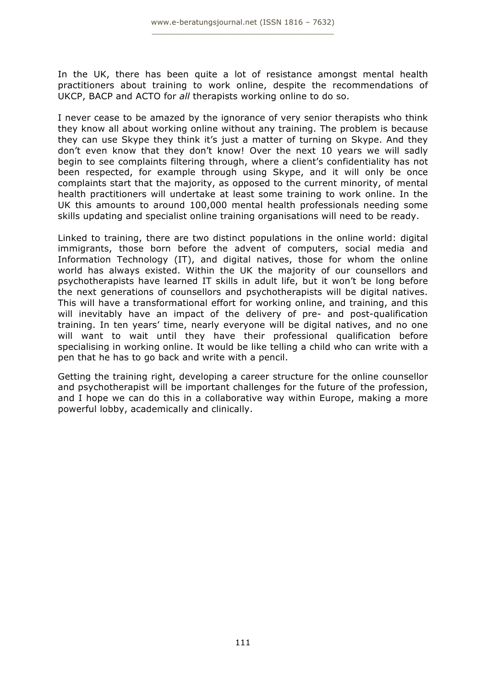In the UK, there has been quite a lot of resistance amongst mental health practitioners about training to work online, despite the recommendations of UKCP, BACP and ACTO for *all* therapists working online to do so.

I never cease to be amazed by the ignorance of very senior therapists who think they know all about working online without any training. The problem is because they can use Skype they think it's just a matter of turning on Skype. And they don't even know that they don't know! Over the next 10 years we will sadly begin to see complaints filtering through, where a client's confidentiality has not been respected, for example through using Skype, and it will only be once complaints start that the majority, as opposed to the current minority, of mental health practitioners will undertake at least some training to work online. In the UK this amounts to around 100,000 mental health professionals needing some skills updating and specialist online training organisations will need to be ready.

Linked to training, there are two distinct populations in the online world: digital immigrants, those born before the advent of computers, social media and Information Technology (IT), and digital natives, those for whom the online world has always existed. Within the UK the majority of our counsellors and psychotherapists have learned IT skills in adult life, but it won't be long before the next generations of counsellors and psychotherapists will be digital natives. This will have a transformational effort for working online, and training, and this will inevitably have an impact of the delivery of pre- and post-qualification training. In ten years' time, nearly everyone will be digital natives, and no one will want to wait until they have their professional qualification before specialising in working online. It would be like telling a child who can write with a pen that he has to go back and write with a pencil.

Getting the training right, developing a career structure for the online counsellor and psychotherapist will be important challenges for the future of the profession, and I hope we can do this in a collaborative way within Europe, making a more powerful lobby, academically and clinically.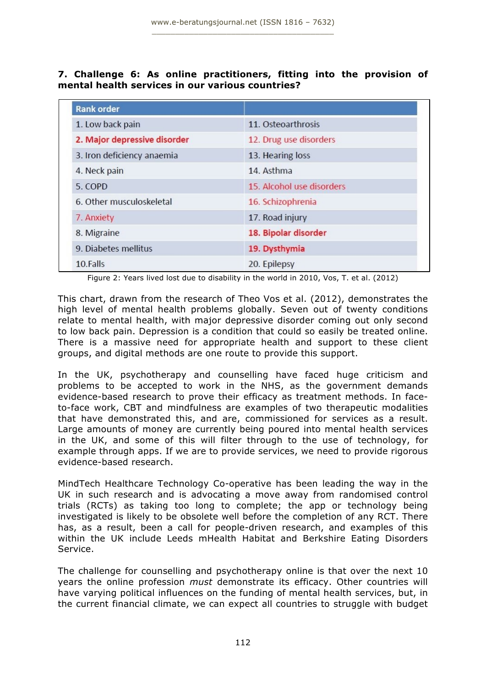**7. Challenge 6: As online practitioners, fitting into the provision of mental health services in our various countries?** 

| <b>Rank order</b>            |                           |
|------------------------------|---------------------------|
| 1. Low back pain             | 11. Osteoarthrosis        |
| 2. Major depressive disorder | 12. Drug use disorders    |
| 3. Iron deficiency anaemia   | 13. Hearing loss          |
| 4. Neck pain                 | 14. Asthma                |
| 5. COPD                      | 15. Alcohol use disorders |
| 6. Other musculoskeletal     | 16. Schizophrenia         |
| 7. Anxiety                   | 17. Road injury           |
| 8. Migraine                  | 18. Bipolar disorder      |
| 9. Diabetes mellitus         | 19. Dysthymia             |
| 10.Falls                     | 20. Epilepsy              |

Figure 2: Years lived lost due to disability in the world in 2010, Vos, T. et al. (2012)

This chart, drawn from the research of Theo Vos et al. (2012), demonstrates the high level of mental health problems globally. Seven out of twenty conditions relate to mental health, with major depressive disorder coming out only second to low back pain. Depression is a condition that could so easily be treated online. There is a massive need for appropriate health and support to these client groups, and digital methods are one route to provide this support.

In the UK, psychotherapy and counselling have faced huge criticism and problems to be accepted to work in the NHS, as the government demands evidence-based research to prove their efficacy as treatment methods. In faceto-face work, CBT and mindfulness are examples of two therapeutic modalities that have demonstrated this, and are, commissioned for services as a result. Large amounts of money are currently being poured into mental health services in the UK, and some of this will filter through to the use of technology, for example through apps. If we are to provide services, we need to provide rigorous evidence-based research.

MindTech Healthcare Technology Co-operative has been leading the way in the UK in such research and is advocating a move away from randomised control trials (RCTs) as taking too long to complete; the app or technology being investigated is likely to be obsolete well before the completion of any RCT. There has, as a result, been a call for people-driven research, and examples of this within the UK include Leeds mHealth Habitat and Berkshire Eating Disorders Service.

The challenge for counselling and psychotherapy online is that over the next 10 years the online profession *must* demonstrate its efficacy. Other countries will have varying political influences on the funding of mental health services, but, in the current financial climate, we can expect all countries to struggle with budget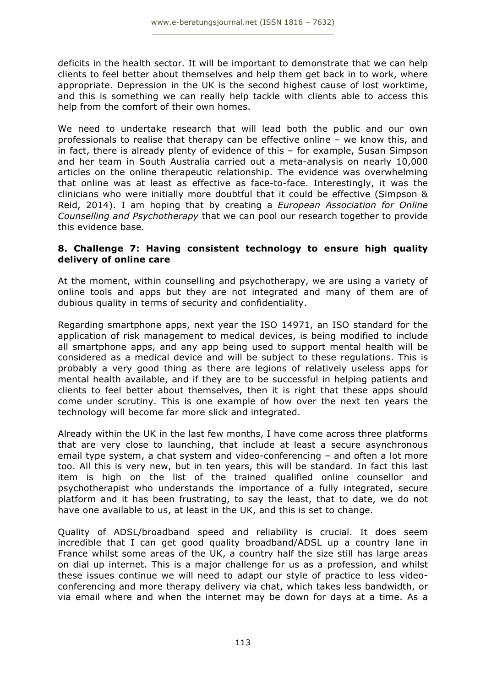deficits in the health sector. It will be important to demonstrate that we can help clients to feel better about themselves and help them get back in to work, where appropriate. Depression in the UK is the second highest cause of lost worktime, and this is something we can really help tackle with clients able to access this help from the comfort of their own homes.

We need to undertake research that will lead both the public and our own professionals to realise that therapy can be effective online – we know this, and in fact, there is already plenty of evidence of this – for example, Susan Simpson and her team in South Australia carried out a meta-analysis on nearly 10,000 articles on the online therapeutic relationship. The evidence was overwhelming that online was at least as effective as face-to-face. Interestingly, it was the clinicians who were initially more doubtful that it could be effective (Simpson & Reid, 2014). I am hoping that by creating a *European Association for Online Counselling and Psychotherapy* that we can pool our research together to provide this evidence base.

## **8. Challenge 7: Having consistent technology to ensure high quality delivery of online care**

At the moment, within counselling and psychotherapy, we are using a variety of online tools and apps but they are not integrated and many of them are of dubious quality in terms of security and confidentiality.

Regarding smartphone apps, next year the ISO 14971, an ISO standard for the application of risk management to medical devices, is being modified to include all smartphone apps, and any app being used to support mental health will be considered as a medical device and will be subject to these regulations. This is probably a very good thing as there are legions of relatively useless apps for mental health available, and if they are to be successful in helping patients and clients to feel better about themselves, then it is right that these apps should come under scrutiny. This is one example of how over the next ten years the technology will become far more slick and integrated.

Already within the UK in the last few months, I have come across three platforms that are very close to launching, that include at least a secure asynchronous email type system, a chat system and video-conferencing – and often a lot more too. All this is very new, but in ten years, this will be standard. In fact this last item is high on the list of the trained qualified online counsellor and psychotherapist who understands the importance of a fully integrated, secure platform and it has been frustrating, to say the least, that to date, we do not have one available to us, at least in the UK, and this is set to change.

Quality of ADSL/broadband speed and reliability is crucial. It does seem incredible that I can get good quality broadband/ADSL up a country lane in France whilst some areas of the UK, a country half the size still has large areas on dial up internet. This is a major challenge for us as a profession, and whilst these issues continue we will need to adapt our style of practice to less videoconferencing and more therapy delivery via chat, which takes less bandwidth, or via email where and when the internet may be down for days at a time. As a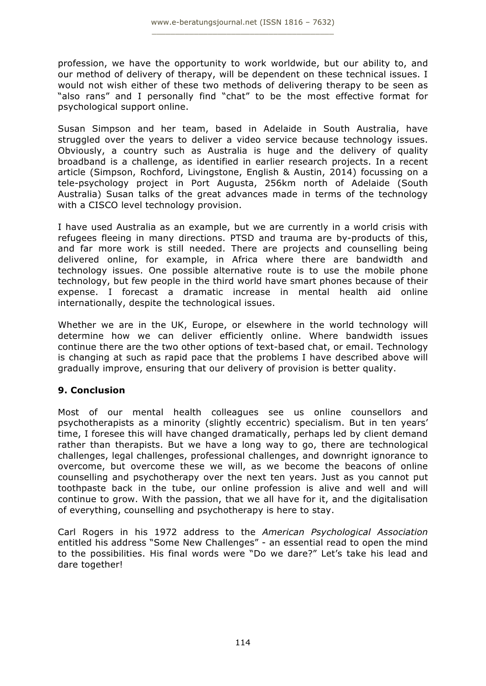profession, we have the opportunity to work worldwide, but our ability to, and our method of delivery of therapy, will be dependent on these technical issues. I would not wish either of these two methods of delivering therapy to be seen as "also rans" and I personally find "chat" to be the most effective format for psychological support online.

Susan Simpson and her team, based in Adelaide in South Australia, have struggled over the years to deliver a video service because technology issues. Obviously, a country such as Australia is huge and the delivery of quality broadband is a challenge, as identified in earlier research projects. In a recent article (Simpson, Rochford, Livingstone, English & Austin, 2014) focussing on a tele-psychology project in Port Augusta, 256km north of Adelaide (South Australia) Susan talks of the great advances made in terms of the technology with a CISCO level technology provision.

I have used Australia as an example, but we are currently in a world crisis with refugees fleeing in many directions. PTSD and trauma are by-products of this, and far more work is still needed. There are projects and counselling being delivered online, for example, in Africa where there are bandwidth and technology issues. One possible alternative route is to use the mobile phone technology, but few people in the third world have smart phones because of their expense. I forecast a dramatic increase in mental health aid online internationally, despite the technological issues.

Whether we are in the UK, Europe, or elsewhere in the world technology will determine how we can deliver efficiently online. Where bandwidth issues continue there are the two other options of text-based chat, or email. Technology is changing at such as rapid pace that the problems I have described above will gradually improve, ensuring that our delivery of provision is better quality.

## **9. Conclusion**

Most of our mental health colleagues see us online counsellors and psychotherapists as a minority (slightly eccentric) specialism. But in ten years' time, I foresee this will have changed dramatically, perhaps led by client demand rather than therapists. But we have a long way to go, there are technological challenges, legal challenges, professional challenges, and downright ignorance to overcome, but overcome these we will, as we become the beacons of online counselling and psychotherapy over the next ten years. Just as you cannot put toothpaste back in the tube, our online profession is alive and well and will continue to grow. With the passion, that we all have for it, and the digitalisation of everything, counselling and psychotherapy is here to stay.

Carl Rogers in his 1972 address to the *American Psychological Association* entitled his address "Some New Challenges" - an essential read to open the mind to the possibilities. His final words were "Do we dare?" Let's take his lead and dare together!